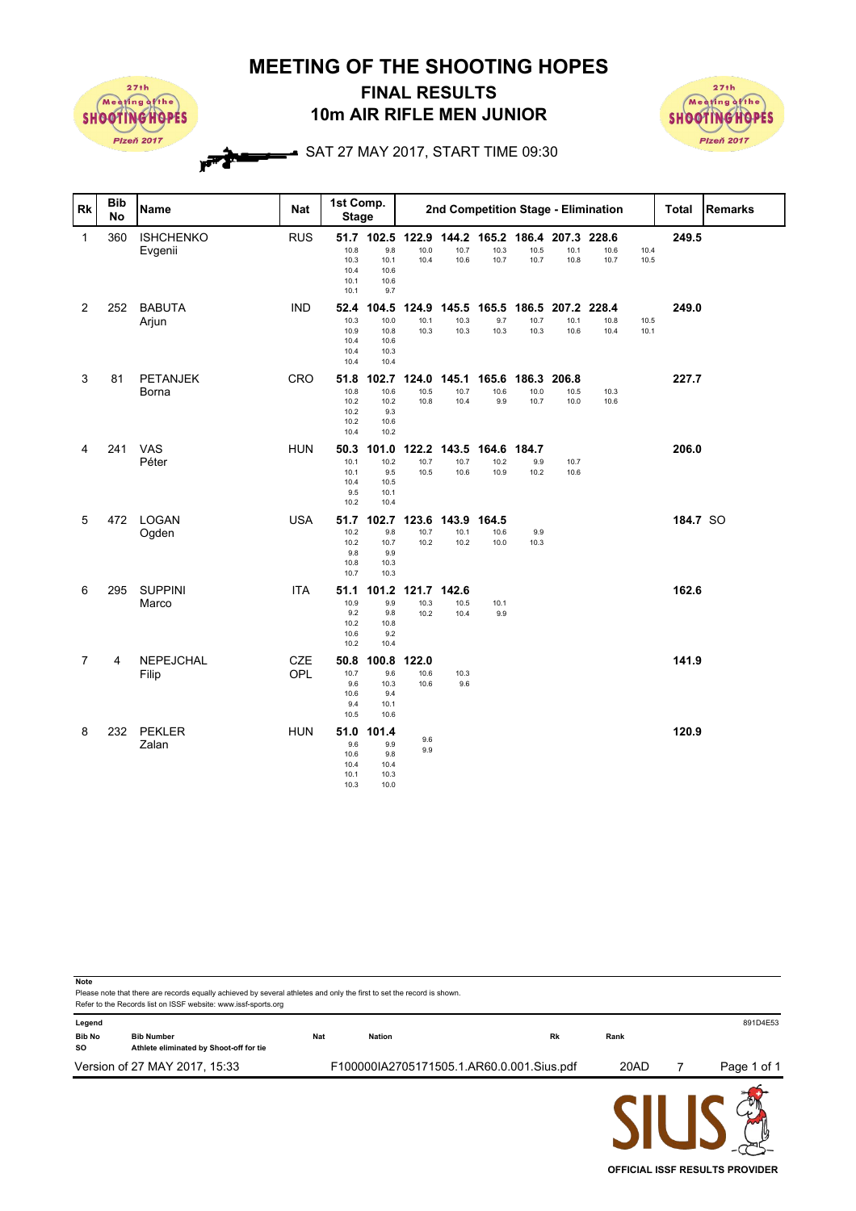**MEETING OF THE SHOOTING HOPES**



**Note**

## **10m AIR RIFLE MEN JUNIOR FINAL RESULTS**



## $\rightarrow$  SAT 27 MAY 2017, START TIME 09:30

| <b>Rk</b>      | <b>Bib</b><br>No | Name                        | <b>Nat</b>        | 1st Comp.<br><b>Stage</b>                    |                                                        |                       |                       |                                               | 2nd Competition Stage - Elimination |                       |                       |              | <b>Total</b> | <b>Remarks</b> |
|----------------|------------------|-----------------------------|-------------------|----------------------------------------------|--------------------------------------------------------|-----------------------|-----------------------|-----------------------------------------------|-------------------------------------|-----------------------|-----------------------|--------------|--------------|----------------|
| $\mathbf 1$    | 360              | <b>ISHCHENKO</b><br>Evgenii | <b>RUS</b>        | 10.8<br>10.3<br>10.4<br>10.1<br>10.1         | 51.7 102.5 122.9<br>9.8<br>10.1<br>10.6<br>10.6<br>9.7 | 10.0<br>10.4          | 10.7<br>10.6          | 144.2 165.2 186.4 207.3 228.6<br>10.3<br>10.7 | 10.5<br>10.7                        | 10.1<br>10.8          | 10.6<br>10.7          | 10.4<br>10.5 | 249.5        |                |
| $\overline{2}$ | 252              | <b>BABUTA</b><br>Arjun      | <b>IND</b>        | 52.4<br>10.3<br>10.9<br>10.4<br>10.4<br>10.4 | 104.5<br>10.0<br>10.8<br>10.6<br>10.3<br>10.4          | 124.9<br>10.1<br>10.3 | 145.5<br>10.3<br>10.3 | 165.5<br>9.7<br>10.3                          | 186.5<br>10.7<br>10.3               | 207.2<br>10.1<br>10.6 | 228.4<br>10.8<br>10.4 | 10.5<br>10.1 | 249.0        |                |
| 3              | 81               | <b>PETANJEK</b><br>Borna    | CRO               | 51.8<br>10.8<br>10.2<br>10.2<br>10.2<br>10.4 | 102.7<br>10.6<br>10.2<br>9.3<br>10.6<br>10.2           | 124.0<br>10.5<br>10.8 | 145.1<br>10.7<br>10.4 | 165.6<br>10.6<br>9.9                          | 186.3<br>10.0<br>10.7               | 206.8<br>10.5<br>10.0 | 10.3<br>10.6          |              | 227.7        |                |
| 4              | 241              | VAS<br>Péter                | <b>HUN</b>        | 50.3<br>10.1<br>10.1<br>10.4<br>9.5<br>10.2  | 101.0<br>10.2<br>9.5<br>10.5<br>10.1<br>10.4           | 122.2<br>10.7<br>10.5 | 143.5<br>10.7<br>10.6 | 164.6<br>10.2<br>10.9                         | 184.7<br>9.9<br>10.2                | 10.7<br>10.6          |                       |              | 206.0        |                |
| 5              | 472              | LOGAN<br>Ogden              | <b>USA</b>        | 10.2<br>10.2<br>9.8<br>10.8<br>10.7          | 51.7 102.7<br>9.8<br>10.7<br>9.9<br>10.3<br>10.3       | 123.6<br>10.7<br>10.2 | 143.9<br>10.1<br>10.2 | 164.5<br>10.6<br>10.0                         | 9.9<br>10.3                         |                       |                       |              | 184.7 SO     |                |
| 6              | 295              | <b>SUPPINI</b><br>Marco     | <b>ITA</b>        | 51.1<br>10.9<br>9.2<br>10.2<br>10.6<br>10.2  | 101.2<br>9.9<br>9.8<br>10.8<br>9.2<br>10.4             | 121.7<br>10.3<br>10.2 | 142.6<br>10.5<br>10.4 | 10.1<br>9.9                                   |                                     |                       |                       |              | 162.6        |                |
| $\overline{7}$ | 4                | NEPEJCHAL<br>Filip          | <b>CZE</b><br>OPL | 10.7<br>9.6<br>10.6<br>9.4<br>10.5           | 50.8 100.8<br>9.6<br>10.3<br>9.4<br>10.1<br>10.6       | 122.0<br>10.6<br>10.6 | 10.3<br>9.6           |                                               |                                     |                       |                       |              | 141.9        |                |
| 8              | 232              | PEKLER<br>Zalan             | <b>HUN</b>        | 51.0<br>9.6<br>10.6<br>10.4<br>10.1<br>10.3  | 101.4<br>9.9<br>9.8<br>10.4<br>10.3<br>10.0            | 9.6<br>9.9            |                       |                                               |                                     |                       |                       |              | 120.9        |                |

Please note that there are records equally achieved by several athletes and only the first to set the record is shown. Refer to the Records list on ISSF website: www.issf-sports.org **Legend** 891D4E53 **Bib No Bib Number Nat Nation Rk Rank SO Athlete eliminated by Shoot-off for tie** Version of 27 MAY 2017, 15:33 F100000IA2705171505.1.AR60.0.001.Sius.pdf 20AD 7 Page 1 of 1

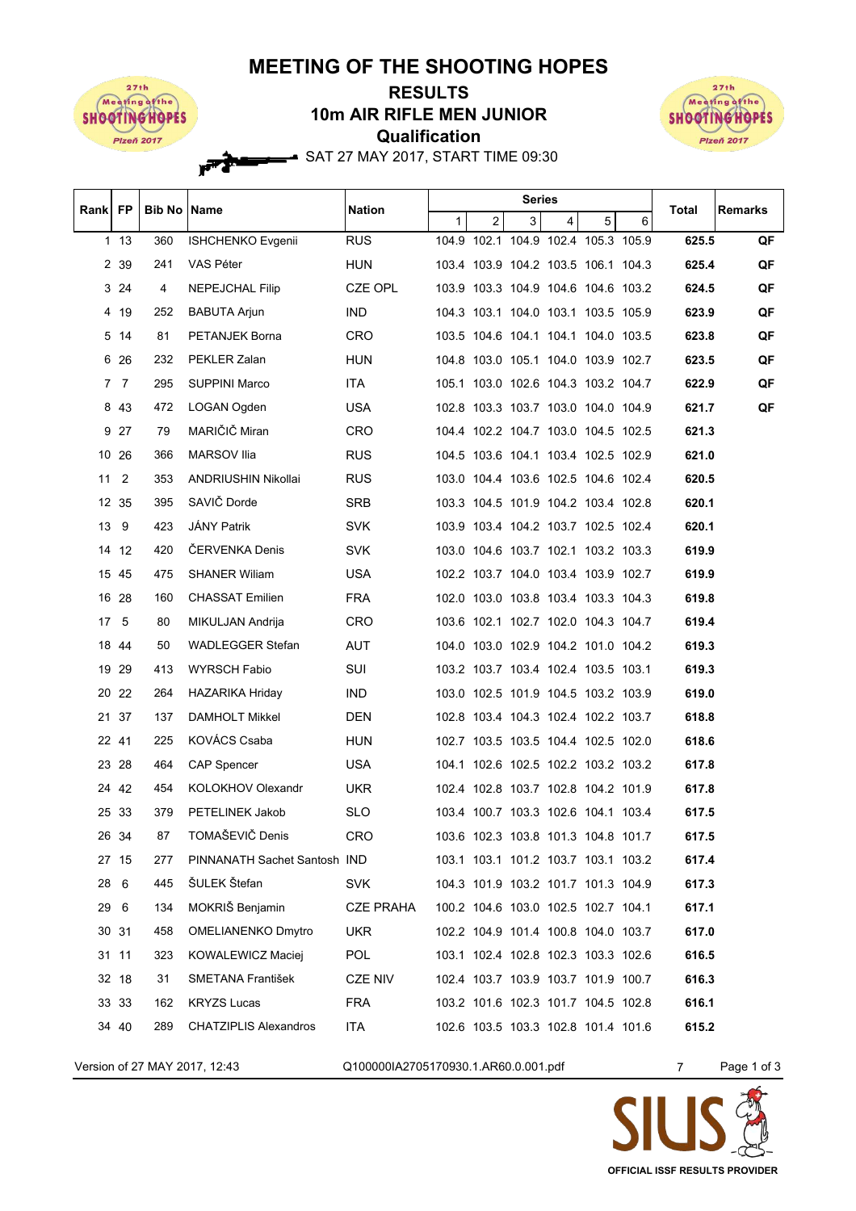## **MEETING OF THE SHOOTING HOPES**



۲Ŕ

## **Qualification 10m AIR RIFLE MEN JUNIOR RESULTS**



SAT 27 MAY 2017, START TIME 09:30

| Rank   FP |                | <b>Bib No   Name</b> |                              | Nation           | <b>Series</b> |                                     |   |   |   | Total | Remarks |    |
|-----------|----------------|----------------------|------------------------------|------------------|---------------|-------------------------------------|---|---|---|-------|---------|----|
|           |                |                      |                              |                  | $\mathbf{1}$  | $\overline{c}$                      | 3 | 4 | 5 | 6     |         |    |
|           | 113            | 360                  | <b>ISHCHENKO Evgenii</b>     | <b>RUS</b>       |               | 104.9 102.1 104.9 102.4 105.3 105.9 |   |   |   |       | 625.5   | QF |
|           | 2 39           | 241                  | VAS Péter                    | <b>HUN</b>       |               | 103.4 103.9 104.2 103.5 106.1 104.3 |   |   |   |       | 625.4   | QF |
|           | 3 24           | 4                    | NEPEJCHAL Filip              | CZE OPL          |               | 103.9 103.3 104.9 104.6 104.6 103.2 |   |   |   |       | 624.5   | QF |
|           | 4 19           | 252                  | <b>BABUTA Arjun</b>          | <b>IND</b>       |               | 104.3 103.1 104.0 103.1 103.5 105.9 |   |   |   |       | 623.9   | QF |
|           | 5 14           | 81                   | PETANJEK Borna               | CRO              |               | 103.5 104.6 104.1 104.1 104.0 103.5 |   |   |   |       | 623.8   | QF |
|           | 6 26           | 232                  | PEKLER Zalan                 | <b>HUN</b>       |               | 104.8 103.0 105.1 104.0 103.9 102.7 |   |   |   |       | 623.5   | QF |
| 7         | 7              | 295                  | SUPPINI Marco                | ITA.             |               | 105.1 103.0 102.6 104.3 103.2 104.7 |   |   |   |       | 622.9   | QF |
|           | 8 43           | 472                  | LOGAN Ogden                  | USA.             |               | 102.8 103.3 103.7 103.0 104.0 104.9 |   |   |   |       | 621.7   | QF |
|           | 9 27           | 79                   | MARIČIČ Miran                | <b>CRO</b>       |               | 104.4 102.2 104.7 103.0 104.5 102.5 |   |   |   |       | 621.3   |    |
|           | 10 26          | 366                  | <b>MARSOV Ilia</b>           | <b>RUS</b>       |               | 104.5 103.6 104.1 103.4 102.5 102.9 |   |   |   |       | 621.0   |    |
| 11        | $\overline{2}$ | 353                  | ANDRIUSHIN Nikollai          | <b>RUS</b>       |               | 103.0 104.4 103.6 102.5 104.6 102.4 |   |   |   |       | 620.5   |    |
|           | 12 35          | 395                  | SAVIČ Dorde                  | <b>SRB</b>       |               | 103.3 104.5 101.9 104.2 103.4 102.8 |   |   |   |       | 620.1   |    |
|           | 13 9           | 423                  | <b>JÁNY Patrik</b>           | <b>SVK</b>       |               | 103.9 103.4 104.2 103.7 102.5 102.4 |   |   |   |       | 620.1   |    |
|           | 14 12          | 420                  | <b>CERVENKA Denis</b>        | <b>SVK</b>       |               | 103.0 104.6 103.7 102.1 103.2 103.3 |   |   |   |       | 619.9   |    |
|           | 15 45          | 475                  | <b>SHANER Wiliam</b>         | <b>USA</b>       |               | 102.2 103.7 104.0 103.4 103.9 102.7 |   |   |   |       | 619.9   |    |
|           | 16 28          | 160                  | <b>CHASSAT Emilien</b>       | <b>FRA</b>       |               | 102.0 103.0 103.8 103.4 103.3 104.3 |   |   |   |       | 619.8   |    |
|           | 17 5           | 80                   | MIKULJAN Andrija             | <b>CRO</b>       |               | 103.6 102.1 102.7 102.0 104.3 104.7 |   |   |   |       | 619.4   |    |
|           | 18 44          | 50                   | WADLEGGER Stefan             | <b>AUT</b>       |               | 104.0 103.0 102.9 104.2 101.0 104.2 |   |   |   |       | 619.3   |    |
|           | 19 29          | 413                  | WYRSCH Fabio                 | SUI              |               | 103.2 103.7 103.4 102.4 103.5 103.1 |   |   |   |       | 619.3   |    |
|           | 20 22          | 264                  | <b>HAZARIKA Hriday</b>       | IND.             |               | 103.0 102.5 101.9 104.5 103.2 103.9 |   |   |   |       | 619.0   |    |
|           | 21 37          | 137                  | DAMHOLT Mikkel               | DEN              |               | 102.8 103.4 104.3 102.4 102.2 103.7 |   |   |   |       | 618.8   |    |
|           | 22 41          | 225                  | KOVÁCS Csaba                 | HUN              |               | 102.7 103.5 103.5 104.4 102.5 102.0 |   |   |   |       | 618.6   |    |
|           | 23 28          | 464                  | <b>CAP Spencer</b>           | <b>USA</b>       |               | 104.1 102.6 102.5 102.2 103.2 103.2 |   |   |   |       | 617.8   |    |
|           | 24 42          | 454                  | KOLOKHOV Olexandr            | UKR.             |               | 102.4 102.8 103.7 102.8 104.2 101.9 |   |   |   |       | 617.8   |    |
|           | 25 33          | 379                  | PETELINEK Jakob              | <b>SLO</b>       |               | 103.4 100.7 103.3 102.6 104.1 103.4 |   |   |   |       | 617.5   |    |
|           | 26 34          | 87                   | TOMAŠEVIČ Denis              | CRO              |               | 103.6 102.3 103.8 101.3 104.8 101.7 |   |   |   |       | 617.5   |    |
|           | 27 15          | 277                  | PINNANATH Sachet Santosh IND |                  |               | 103.1 103.1 101.2 103.7 103.1 103.2 |   |   |   |       | 617.4   |    |
|           | 28 6           | 445                  | ŠULEK Štefan                 | <b>SVK</b>       |               | 104.3 101.9 103.2 101.7 101.3 104.9 |   |   |   |       | 617.3   |    |
|           | 29 6           | 134                  | MOKRIŠ Benjamin              | <b>CZE PRAHA</b> |               | 100.2 104.6 103.0 102.5 102.7 104.1 |   |   |   |       | 617.1   |    |
|           | 30 31          | 458                  | <b>OMELIANENKO Dmytro</b>    | <b>UKR</b>       |               | 102.2 104.9 101.4 100.8 104.0 103.7 |   |   |   |       | 617.0   |    |
|           | 31 11          | 323                  | KOWALEWICZ Maciej            | <b>POL</b>       |               | 103.1 102.4 102.8 102.3 103.3 102.6 |   |   |   |       | 616.5   |    |
|           | 32 18          | 31                   | SMETANA František            | CZE NIV          |               | 102.4 103.7 103.9 103.7 101.9 100.7 |   |   |   |       | 616.3   |    |
|           | 33 33          | 162                  | <b>KRYZS Lucas</b>           | FRA              |               | 103.2 101.6 102.3 101.7 104.5 102.8 |   |   |   |       | 616.1   |    |
|           | 34 40          | 289                  | <b>CHATZIPLIS Alexandros</b> | ITA.             |               | 102.6 103.5 103.3 102.8 101.4 101.6 |   |   |   |       | 615.2   |    |
|           |                |                      |                              |                  |               |                                     |   |   |   |       |         |    |

Version of 27 MAY 2017, 12:43 Q100000IA2705170930.1.AR60.0.001.pdf 7 Page 1 of 3

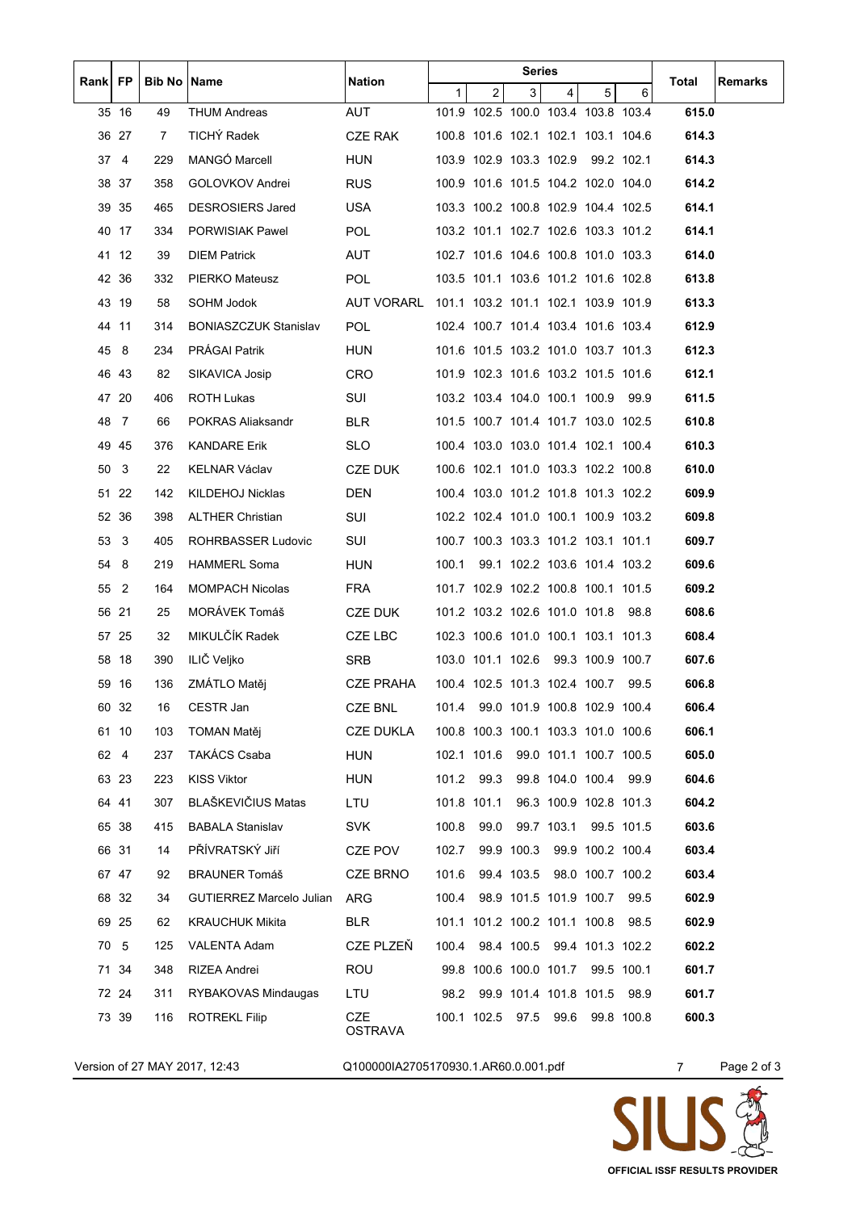| Rank FP |              | Bib No         | Name                            | <b>Nation</b>                                  | <b>Series</b> |                |   |                                     | Total | <b>Remarks</b> |                |             |
|---------|--------------|----------------|---------------------------------|------------------------------------------------|---------------|----------------|---|-------------------------------------|-------|----------------|----------------|-------------|
|         |              |                |                                 |                                                | $\mathbf{1}$  | $\overline{2}$ | 3 | 4                                   | 5     | 6              |                |             |
|         | 35 16        | 49             | <b>THUM Andreas</b>             | AUT                                            |               |                |   | 101.9 102.5 100.0 103.4 103.8 103.4 |       |                | 615.0          |             |
|         | 36 27        | $\overline{7}$ | TICHÝ Radek                     | CZE RAK                                        |               |                |   | 100.8 101.6 102.1 102.1 103.1 104.6 |       |                | 614.3          |             |
|         | $37 \quad 4$ | 229            | MANGO Marcell                   | <b>HUN</b>                                     |               |                |   | 103.9 102.9 103.3 102.9 99.2 102.1  |       |                | 614.3          |             |
|         | 38 37        | 358            | GOLOVKOV Andrei                 | <b>RUS</b>                                     |               |                |   | 100.9 101.6 101.5 104.2 102.0 104.0 |       |                | 614.2          |             |
|         | 39 35        | 465            | <b>DESROSIERS Jared</b>         | <b>USA</b>                                     |               |                |   | 103.3 100.2 100.8 102.9 104.4 102.5 |       |                | 614.1          |             |
|         | 40 17        | 334            | PORWISIAK Pawel                 | POL.                                           |               |                |   | 103.2 101.1 102.7 102.6 103.3 101.2 |       |                | 614.1          |             |
|         | 41 12        | 39             | <b>DIEM Patrick</b>             | AUT                                            |               |                |   | 102.7 101.6 104.6 100.8 101.0 103.3 |       |                | 614.0          |             |
|         | 42 36        | 332            | PIERKO Mateusz                  | <b>POL</b>                                     |               |                |   | 103.5 101.1 103.6 101.2 101.6 102.8 |       |                | 613.8          |             |
|         | 43 19        | 58             | SOHM Jodok                      | AUT VORARL 101.1 103.2 101.1 102.1 103.9 101.9 |               |                |   |                                     |       |                | 613.3          |             |
|         | 44 11        | 314            | <b>BONIASZCZUK Stanislav</b>    | <b>POL</b>                                     |               |                |   | 102.4 100.7 101.4 103.4 101.6 103.4 |       |                | 612.9          |             |
| 45      | -8           | 234            | <b>PRÁGAI Patrik</b>            | <b>HUN</b>                                     |               |                |   | 101.6 101.5 103.2 101.0 103.7 101.3 |       |                | 612.3          |             |
|         | 46 43        | 82             | SIKAVICA Josip                  | CRO                                            |               |                |   | 101.9 102.3 101.6 103.2 101.5 101.6 |       |                | 612.1          |             |
|         | 47 20        | 406            | <b>ROTH Lukas</b>               | SUI                                            |               |                |   | 103.2 103.4 104.0 100.1 100.9 99.9  |       |                | 611.5          |             |
|         | 48 7         | 66             | POKRAS Aliaksandr               | <b>BLR</b>                                     |               |                |   | 101.5 100.7 101.4 101.7 103.0 102.5 |       |                | 610.8          |             |
|         | 49 45        | 376            | KANDARE Erik                    | SLO.                                           |               |                |   | 100.4 103.0 103.0 101.4 102.1 100.4 |       |                | 610.3          |             |
|         | 50 3         | 22             | <b>KELNAR Václav</b>            | CZE DUK                                        |               |                |   | 100.6 102.1 101.0 103.3 102.2 100.8 |       |                | 610.0          |             |
|         | 51 22        | 142            | KILDEHOJ Nicklas                | <b>DEN</b>                                     |               |                |   | 100.4 103.0 101.2 101.8 101.3 102.2 |       |                | 609.9          |             |
|         | 52 36        | 398            | ALTHER Christian                | SUI                                            |               |                |   | 102.2 102.4 101.0 100.1 100.9 103.2 |       |                | 609.8          |             |
| 53      | -3           | 405            | ROHRBASSER Ludovic              | SUI                                            |               |                |   | 100.7 100.3 103.3 101.2 103.1 101.1 |       |                | 609.7          |             |
| 54      | - 8          | 219            | <b>HAMMERL Soma</b>             | HUN                                            | 100.1         |                |   | 99.1 102.2 103.6 101.4 103.2        |       |                | 609.6          |             |
|         | 55 2         | 164            | <b>MOMPACH Nicolas</b>          | FRA                                            |               |                |   | 101.7 102.9 102.2 100.8 100.1 101.5 |       |                | 609.2          |             |
|         | 56 21        | 25             | MORÁVEK Tomáš                   | CZE DUK                                        |               |                |   | 101.2 103.2 102.6 101.0 101.8 98.8  |       |                | 608.6          |             |
|         | 57 25        | 32             | MIKULČÍK Radek                  | CZE LBC                                        |               |                |   | 102.3 100.6 101.0 100.1 103.1 101.3 |       |                | 608.4          |             |
|         | 58 18        | 390            | ILIČ Veljko                     | <b>SRB</b>                                     |               |                |   | 103.0 101.1 102.6 99.3 100.9 100.7  |       |                | 607.6          |             |
|         | 59 16        | 136            | ZMÁTLO Matěj                    | <b>CZE PRAHA</b>                               |               |                |   | 100.4 102.5 101.3 102.4 100.7 99.5  |       |                | 606.8          |             |
|         | 60 32        | 16             | CESTR Jan                       | CZE BNL                                        |               |                |   | 101.4 99.0 101.9 100.8 102.9 100.4  |       |                | 606.4          |             |
|         | 61 10        | 103            | <b>TOMAN Matěj</b>              | <b>CZE DUKLA</b>                               |               |                |   | 100.8 100.3 100.1 103.3 101.0 100.6 |       |                | 606.1          |             |
|         | 62 4         | 237            | <b>TAKÁCS Csaba</b>             | <b>HUN</b>                                     |               | 102.1 101.6    |   | 99.0 101.1 100.7 100.5              |       |                | 605.0          |             |
|         | 63 23        | 223            | <b>KISS Viktor</b>              | <b>HUN</b>                                     |               | 101.2 99.3     |   | 99.8 104.0 100.4 99.9               |       |                | 604.6          |             |
|         | 64 41        | 307            | <b>BLAŠKEVIČIUS Matas</b>       | LTU                                            |               | 101.8 101.1    |   | 96.3 100.9 102.8 101.3              |       |                | 604.2          |             |
|         | 65 38        | 415            | <b>BABALA Stanislav</b>         | <b>SVK</b>                                     | 100.8         | 99.0           |   | 99.7 103.1                          |       | 99.5 101.5     | 603.6          |             |
|         | 66 31        | 14             | PŘÍVRATSKÝ Jiří                 | CZE POV                                        | 102.7         |                |   | 99.9 100.3 99.9 100.2 100.4         |       |                | 603.4          |             |
|         | 67 47        | 92             | <b>BRAUNER Tomáš</b>            | <b>CZE BRNO</b>                                | 101.6         |                |   | 99.4 103.5 98.0 100.7 100.2         |       |                | 603.4          |             |
|         | 68 32        | 34             | <b>GUTIERREZ Marcelo Julian</b> | ARG                                            | 100.4         |                |   | 98.9 101.5 101.9 100.7              |       | 99.5           | 602.9          |             |
|         | 69 25        | 62             | <b>KRAUCHUK Mikita</b>          | <b>BLR</b>                                     |               |                |   | 101.1 101.2 100.2 101.1 100.8       |       | 98.5           | 602.9          |             |
| 70      | -5           | 125            | VALENTA Adam                    | CZE PLZEŇ                                      | 100.4         |                |   | 98.4 100.5 99.4 101.3 102.2         |       |                | 602.2          |             |
|         | 71 34        | 348            | RIZEA Andrei                    | <b>ROU</b>                                     |               |                |   | 99.8 100.6 100.0 101.7              |       | 99.5 100.1     | 601.7          |             |
|         | 72 24        | 311            | RYBAKOVAS Mindaugas             | LTU                                            | 98.2          |                |   | 99.9 101.4 101.8 101.5              |       | 98.9           | 601.7          |             |
|         | 73 39        | 116            | <b>ROTREKL Filip</b>            | <b>CZE</b>                                     |               | 100.1 102.5    |   | 97.5 99.6                           |       | 99.8 100.8     | 600.3          |             |
|         |              |                |                                 | <b>OSTRAVA</b>                                 |               |                |   |                                     |       |                |                |             |
|         |              |                | Version of 27 MAY 2017, 12:43   | Q100000IA2705170930.1.AR60.0.001.pdf           |               |                |   |                                     |       |                | $\overline{7}$ | Page 2 of 3 |